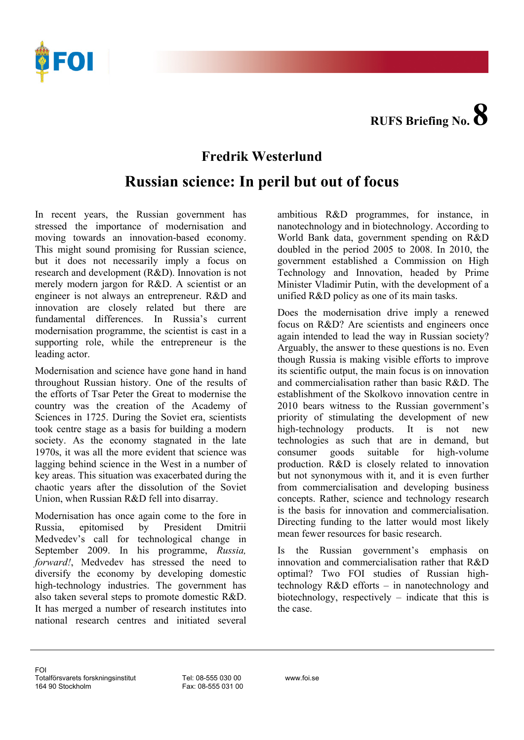**RUFS Briefing No. 8**



## **Fredrik Westerlund**

## **Russian science: In peril but out of focus**

In recent years, the Russian government has stressed the importance of modernisation and moving towards an innovation-based economy. This might sound promising for Russian science, but it does not necessarily imply a focus on research and development (R&D). Innovation is not merely modern jargon for R&D. A scientist or an engineer is not always an entrepreneur. R&D and innovation are closely related but there are fundamental differences. In Russia's current modernisation programme, the scientist is cast in a supporting role, while the entrepreneur is the leading actor.

Modernisation and science have gone hand in hand throughout Russian history. One of the results of the efforts of Tsar Peter the Great to modernise the country was the creation of the Academy of Sciences in 1725. During the Soviet era, scientists took centre stage as a basis for building a modern society. As the economy stagnated in the late 1970s, it was all the more evident that science was lagging behind science in the West in a number of key areas. This situation was exacerbated during the chaotic years after the dissolution of the Soviet Union, when Russian R&D fell into disarray.

Modernisation has once again come to the fore in Russia, epitomised by President Dmitrii Medvedev's call for technological change in September 2009. In his programme, *Russia, forward!*, Medvedev has stressed the need to diversify the economy by developing domestic high-technology industries. The government has also taken several steps to promote domestic R&D. It has merged a number of research institutes into national research centres and initiated several

ambitious R&D programmes, for instance, in nanotechnology and in biotechnology. According to World Bank data, government spending on R&D doubled in the period 2005 to 2008. In 2010, the government established a Commission on High Technology and Innovation, headed by Prime Minister Vladimir Putin, with the development of a unified R&D policy as one of its main tasks.

Does the modernisation drive imply a renewed focus on R&D? Are scientists and engineers once again intended to lead the way in Russian society? Arguably, the answer to these questions is no. Even though Russia is making visible efforts to improve its scientific output, the main focus is on innovation and commercialisation rather than basic R&D. The establishment of the Skolkovo innovation centre in 2010 bears witness to the Russian government's priority of stimulating the development of new high-technology products. It is not new technologies as such that are in demand, but consumer goods suitable for high-volume production. R&D is closely related to innovation but not synonymous with it, and it is even further from commercialisation and developing business concepts. Rather, science and technology research is the basis for innovation and commercialisation. Directing funding to the latter would most likely mean fewer resources for basic research.

Is the Russian government's emphasis on innovation and commercialisation rather that R&D optimal? Two FOI studies of Russian hightechnology R&D efforts – in nanotechnology and biotechnology, respectively – indicate that this is the case.